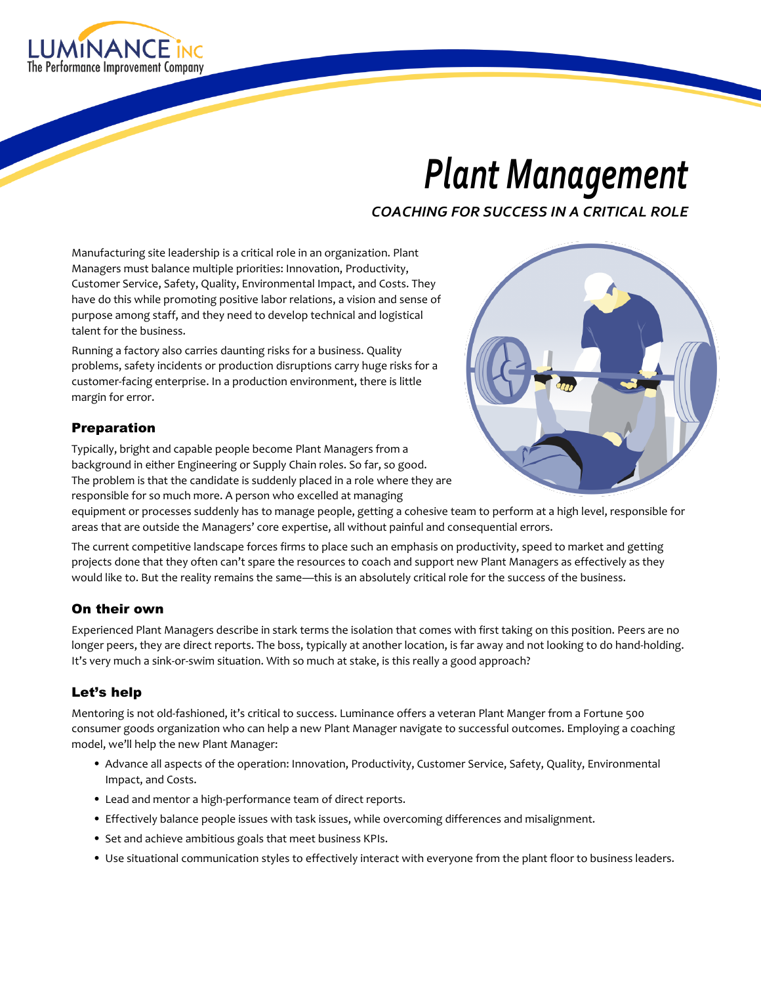

# *Plant Management*

*COACHING FOR SUCCESS IN A CRITICAL ROLE*

Manufacturing site leadership is a critical role in an organization. Plant Managers must balance multiple priorities: Innovation, Productivity, Customer Service, Safety, Quality, Environmental Impact, and Costs. They have do this while promoting positive labor relations, a vision and sense of purpose among staff, and they need to develop technical and logistical talent for the business.

Running a factory also carries daunting risks for a business. Quality problems, safety incidents or production disruptions carry huge risks for a customer-facing enterprise. In a production environment, there is little margin for error.

### Preparation

Typically, bright and capable people become Plant Managers from a background in either Engineering or Supply Chain roles. So far, so good. The problem is that the candidate is suddenly placed in a role where they are responsible for so much more. A person who excelled at managing



equipment or processes suddenly has to manage people, getting a cohesive team to perform at a high level, responsible for areas that are outside the Managers' core expertise, all without painful and consequential errors.

The current competitive landscape forces firms to place such an emphasis on productivity, speed to market and getting projects done that they often can't spare the resources to coach and support new Plant Managers as effectively as they would like to. But the reality remains the same—this is an absolutely critical role for the success of the business.

### On their own

Experienced Plant Managers describe in stark terms the isolation that comes with first taking on this position. Peers are no longer peers, they are direct reports. The boss, typically at another location, is far away and not looking to do hand-holding. It's very much a sink-or-swim situation. With so much at stake, is this really a good approach?

## Let's help

Mentoring is not old-fashioned, it's critical to success. Luminance offers a veteran Plant Manger from a Fortune 500 consumer goods organization who can help a new Plant Manager navigate to successful outcomes. Employing a coaching model, we'll help the new Plant Manager:

- Advance all aspects of the operation: Innovation, Productivity, Customer Service, Safety, Quality, Environmental Impact, and Costs.
- Lead and mentor a high-performance team of direct reports.
- Effectively balance people issues with task issues, while overcoming differences and misalignment.
- Set and achieve ambitious goals that meet business KPIs.
- Use situational communication styles to effectively interact with everyone from the plant floor to business leaders.